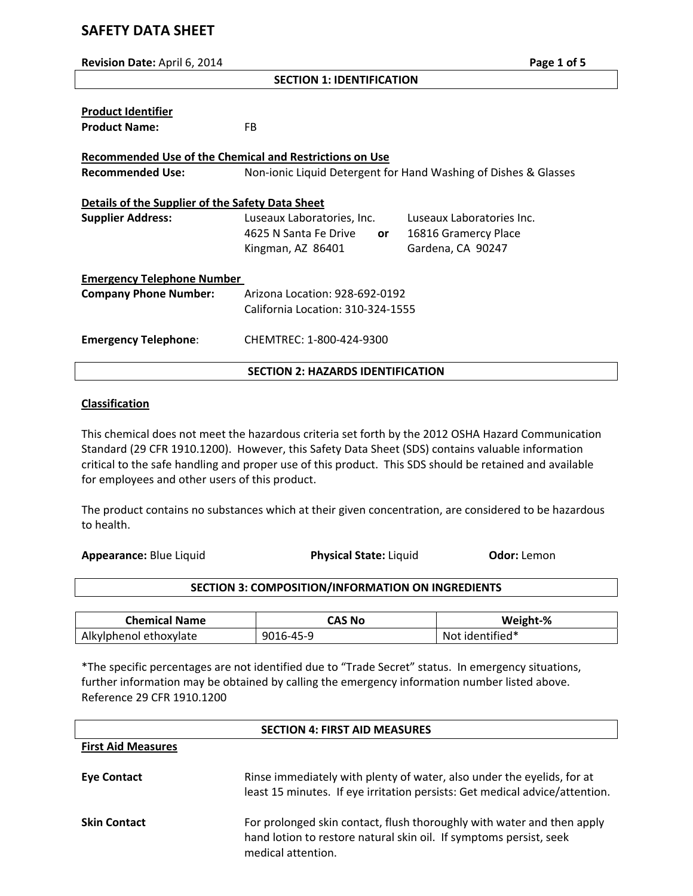# **SAFETY DATA SHEET**

| Revision Date: April 6, 2014                                   |                                                                 | Page 1 of 5               |  |  |
|----------------------------------------------------------------|-----------------------------------------------------------------|---------------------------|--|--|
| <b>SECTION 1: IDENTIFICATION</b>                               |                                                                 |                           |  |  |
|                                                                |                                                                 |                           |  |  |
| <b>Product Identifier</b>                                      |                                                                 |                           |  |  |
| <b>Product Name:</b>                                           | FB.                                                             |                           |  |  |
|                                                                |                                                                 |                           |  |  |
| <b>Recommended Use of the Chemical and Restrictions on Use</b> |                                                                 |                           |  |  |
| <b>Recommended Use:</b>                                        | Non-ionic Liquid Detergent for Hand Washing of Dishes & Glasses |                           |  |  |
|                                                                |                                                                 |                           |  |  |
| Details of the Supplier of the Safety Data Sheet               |                                                                 |                           |  |  |
| <b>Supplier Address:</b>                                       | Luseaux Laboratories, Inc.                                      | Luseaux Laboratories Inc. |  |  |
|                                                                | 4625 N Santa Fe Drive<br><b>or</b>                              | 16816 Gramercy Place      |  |  |
|                                                                | Kingman, AZ 86401                                               | Gardena, CA 90247         |  |  |
| <b>Emergency Telephone Number</b>                              |                                                                 |                           |  |  |
|                                                                |                                                                 |                           |  |  |
| <b>Company Phone Number:</b>                                   | Arizona Location: 928-692-0192                                  |                           |  |  |
|                                                                | California Location: 310-324-1555                               |                           |  |  |
| <b>Emergency Telephone:</b>                                    | CHEMTREC: 1-800-424-9300                                        |                           |  |  |
|                                                                |                                                                 |                           |  |  |
|                                                                | <b>SECTION 2: HAZARDS IDENTIFICATION</b>                        |                           |  |  |

### **Classification**

This chemical does not meet the hazardous criteria set forth by the 2012 OSHA Hazard Communication Standard (29 CFR 1910.1200). However, this Safety Data Sheet (SDS) contains valuable information critical to the safe handling and proper use of this product. This SDS should be retained and available for employees and other users of this product.

The product contains no substances which at their given concentration, are considered to be hazardous to health.

**Appearance:** Blue Liquid **Physical State:** Liquid **Odor:** Lemon

## **SECTION 3: COMPOSITION/INFORMATION ON INGREDIENTS**

| <b>Chemical Name</b>   | CAS No    | Weight-%        |
|------------------------|-----------|-----------------|
| Alkylphenol ethoxylate | 9016-45-9 | Not identified* |

\*The specific percentages are not identified due to "Trade Secret" status. In emergency situations, further information may be obtained by calling the emergency information number listed above. Reference 29 CFR 1910.1200

| <b>SECTION 4: FIRST AID MEASURES</b> |                                                                                                                                                                    |  |  |
|--------------------------------------|--------------------------------------------------------------------------------------------------------------------------------------------------------------------|--|--|
| <b>First Aid Measures</b>            |                                                                                                                                                                    |  |  |
| Eye Contact                          | Rinse immediately with plenty of water, also under the eyelids, for at<br>least 15 minutes. If eye irritation persists: Get medical advice/attention.              |  |  |
| <b>Skin Contact</b>                  | For prolonged skin contact, flush thoroughly with water and then apply<br>hand lotion to restore natural skin oil. If symptoms persist, seek<br>medical attention. |  |  |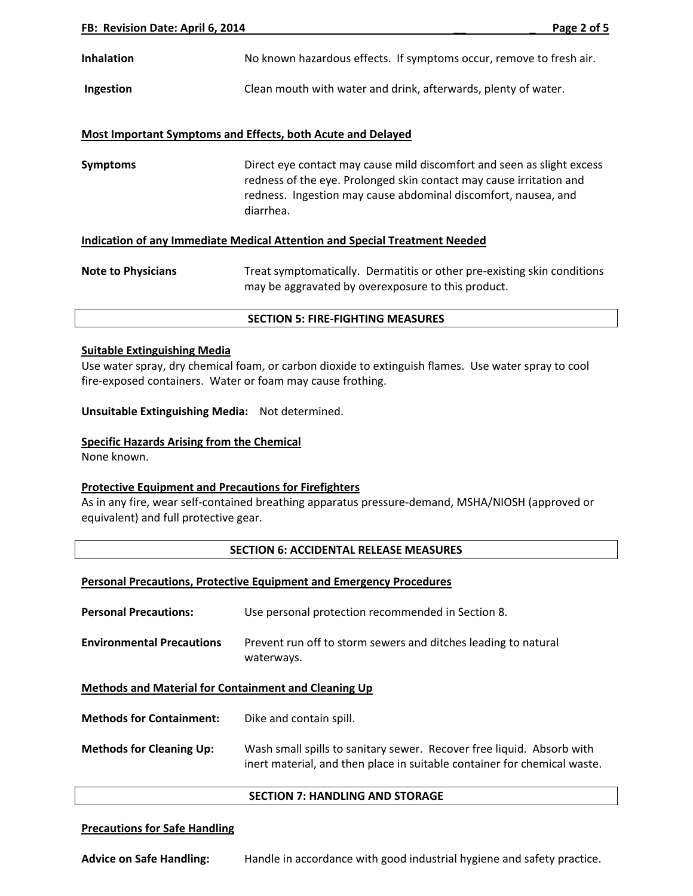## **Most Important Symptoms and Effects, both Acute and Delayed**

**Symptoms Direct eye contact may cause mild discomfort and seen as slight excess** redness of the eye. Prolonged skin contact may cause irritation and redness. Ingestion may cause abdominal discomfort, nausea, and diarrhea.

### **Indication of any Immediate Medical Attention and Special Treatment Needed**

**Note to Physicians** Treat symptomatically. Dermatitis or other pre-existing skin conditions may be aggravated by overexposure to this product.

#### **SECTION 5: FIRE‐FIGHTING MEASURES**

#### **Suitable Extinguishing Media**

Use water spray, dry chemical foam, or carbon dioxide to extinguish flames. Use water spray to cool fire-exposed containers. Water or foam may cause frothing.

**Unsuitable Extinguishing Media:** Not determined.

### **Specific Hazards Arising from the Chemical**

None known.

### **Protective Equipment and Precautions for Firefighters**

As in any fire, wear self‐contained breathing apparatus pressure‐demand, MSHA/NIOSH (approved or equivalent) and full protective gear.

## **SECTION 6: ACCIDENTAL RELEASE MEASURES**

### **Personal Precautions, Protective Equipment and Emergency Procedures**

**Personal Precautions:** Use personal protection recommended in Section 8. **Environmental Precautions** Prevent run off to storm sewers and ditches leading to natural waterways.

**Methods and Material for Containment and Cleaning Up**

**Methods for Containment:** Dike and contain spill.

**Methods for Cleaning Up:** Wash small spills to sanitary sewer. Recover free liquid. Absorb with inert material, and then place in suitable container for chemical waste.

#### **SECTION 7: HANDLING AND STORAGE**

### **Precautions for Safe Handling**

**Advice on Safe Handling:** Handle in accordance with good industrial hygiene and safety practice.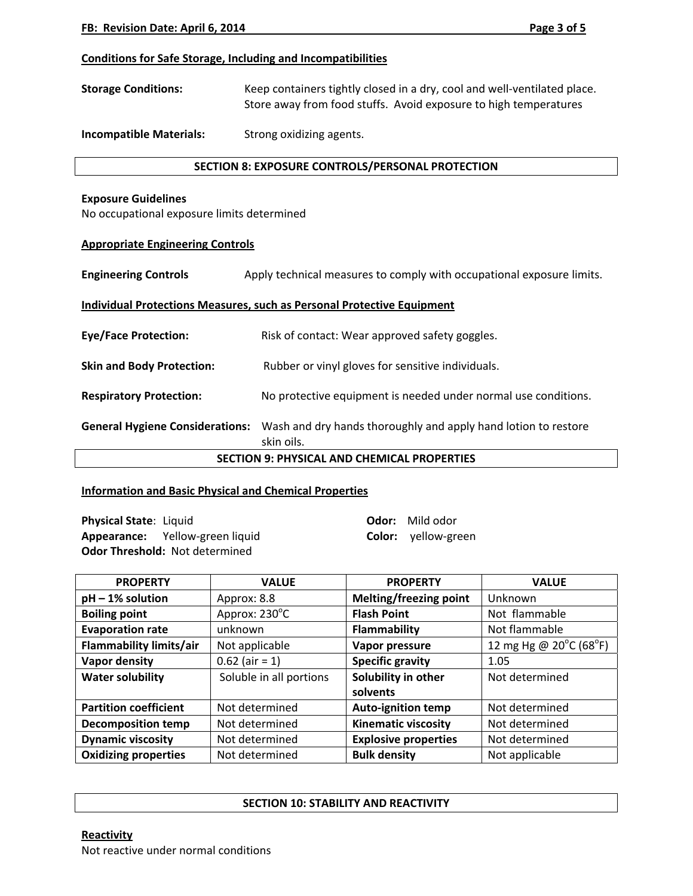### **Conditions for Safe Storage, Including and Incompatibilities**

**Storage Conditions:** Keep containers tightly closed in a dry, cool and well‐ventilated place. Store away from food stuffs. Avoid exposure to high temperatures

**Incompatible Materials:** Strong oxidizing agents.

### **SECTION 8: EXPOSURE CONTROLS/PERSONAL PROTECTION**

### **Exposure Guidelines**

No occupational exposure limits determined

### **Appropriate Engineering Controls**

**Engineering Controls 2008** Apply technical measures to comply with occupational exposure limits.

### **Individual Protections Measures, such as Personal Protective Equipment**

**Eye/Face Protection:** Risk of contact: Wear approved safety goggles.

**Skin and Body Protection: Rubber or vinyl gloves for sensitive individuals.** 

**Respiratory Protection:** No protective equipment is needed under normal use conditions.

**General Hygiene Considerations:** Wash and dry hands thoroughly and apply hand lotion to restore skin oils.

**SECTION 9: PHYSICAL AND CHEMICAL PROPERTIES**

### **Information and Basic Physical and Chemical Properties**

**Physical State**: Liquid **Odor:** Mild odor **Appearance:** Yellow‐green liquid **Color:** yellow‐green **Odor Threshold:** Not determined

| <b>PROPERTY</b>              | <b>VALUE</b>            | <b>PROPERTY</b>             | <b>VALUE</b>           |
|------------------------------|-------------------------|-----------------------------|------------------------|
| $pH - 1%$ solution           | Approx: 8.8             | Melting/freezing point      | Unknown                |
| <b>Boiling point</b>         | Approx: 230°C           | <b>Flash Point</b>          | Not flammable          |
| <b>Evaporation rate</b>      | unknown                 | Flammability                | Not flammable          |
| Flammability limits/air      | Not applicable          | Vapor pressure              | 12 mg Hg @ 20°C (68°F) |
| Vapor density                | $0.62$ (air = 1)        | <b>Specific gravity</b>     | 1.05                   |
| <b>Water solubility</b>      | Soluble in all portions | Solubility in other         | Not determined         |
|                              |                         | solvents                    |                        |
| <b>Partition coefficient</b> | Not determined          | <b>Auto-ignition temp</b>   | Not determined         |
| <b>Decomposition temp</b>    | Not determined          | <b>Kinematic viscosity</b>  | Not determined         |
| <b>Dynamic viscosity</b>     | Not determined          | <b>Explosive properties</b> | Not determined         |
| <b>Oxidizing properties</b>  | Not determined          | <b>Bulk density</b>         | Not applicable         |

#### **SECTION 10: STABILITY AND REACTIVITY**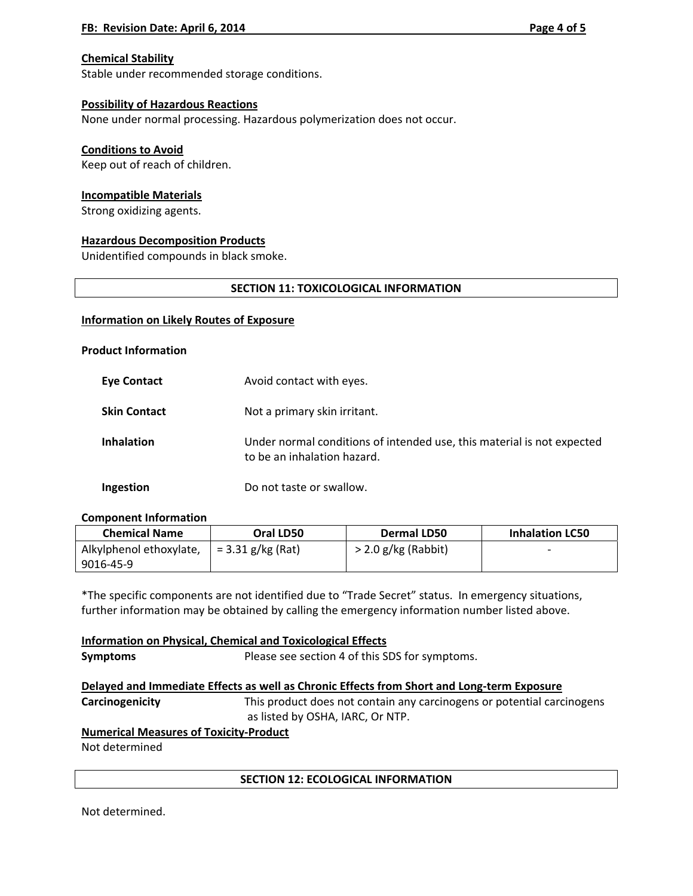## **Chemical Stability**

Stable under recommended storage conditions.

## **Possibility of Hazardous Reactions**

None under normal processing. Hazardous polymerization does not occur.

### **Conditions to Avoid**

Keep out of reach of children.

### **Incompatible Materials**

Strong oxidizing agents.

### **Hazardous Decomposition Products**

Unidentified compounds in black smoke.

### **SECTION 11: TOXICOLOGICAL INFORMATION**

### **Information on Likely Routes of Exposure**

### **Product Information**

| <b>Eve Contact</b>  | Avoid contact with eyes.                                                                              |
|---------------------|-------------------------------------------------------------------------------------------------------|
| <b>Skin Contact</b> | Not a primary skin irritant.                                                                          |
| <b>Inhalation</b>   | Under normal conditions of intended use, this material is not expected<br>to be an inhalation hazard. |
| Ingestion           | Do not taste or swallow.                                                                              |

### **Component Information**

| <b>Chemical Name</b>    | Oral LD50           | Dermal LD50           | <b>Inhalation LC50</b> |
|-------------------------|---------------------|-----------------------|------------------------|
| Alkylphenol ethoxylate, | $= 3.31$ g/kg (Rat) | $>$ 2.0 g/kg (Rabbit) |                        |
| 9016-45-9               |                     |                       |                        |

\*The specific components are not identified due to "Trade Secret" status. In emergency situations, further information may be obtained by calling the emergency information number listed above.

**Information on Physical, Chemical and Toxicological Effects Symptoms** Please see section 4 of this SDS for symptoms. **Delayed and Immediate Effects as well as Chronic Effects from Short and Long‐term Exposure**

**Carcinogenicity Replectively** This product does not contain any carcinogens or potential carcinogens as listed by OSHA, IARC, Or NTP.

## **Numerical Measures of Toxicity‐Product**

Not determined

### **SECTION 12: ECOLOGICAL INFORMATION**

Not determined.